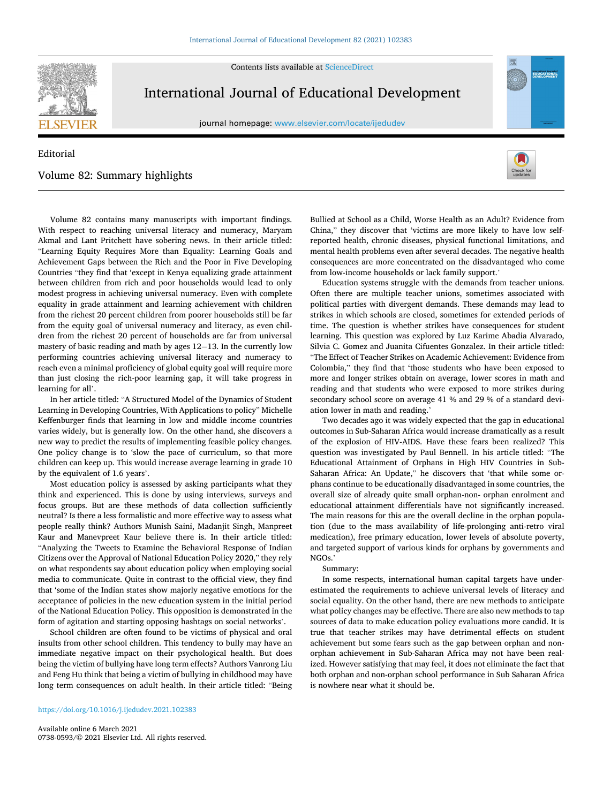

Contents lists available at [ScienceDirect](www.sciencedirect.com/science/journal/07380593)

## International Journal of Educational Development

journal homepage: [www.elsevier.com/locate/ijedudev](https://www.elsevier.com/locate/ijedudev)

## Editorial Volume 82: Summary highlights



EDUCATIONA

Volume 82 contains many manuscripts with important findings. With respect to reaching universal literacy and numeracy, Maryam Akmal and Lant Pritchett have sobering news. In their article titled: "Learning Equity Requires More than Equality: Learning Goals and Achievement Gaps between the Rich and the Poor in Five Developing Countries "they find that 'except in Kenya equalizing grade attainment between children from rich and poor households would lead to only modest progress in achieving universal numeracy. Even with complete equality in grade attainment and learning achievement with children from the richest 20 percent children from poorer households still be far from the equity goal of universal numeracy and literacy, as even children from the richest 20 percent of households are far from universal mastery of basic reading and math by ages 12− 13. In the currently low performing countries achieving universal literacy and numeracy to reach even a minimal proficiency of global equity goal will require more than just closing the rich-poor learning gap, it will take progress in learning for all'.

In her article titled: "A Structured Model of the Dynamics of Student Learning in Developing Countries, With Applications to policy" Michelle Keffenburger finds that learning in low and middle income countries varies widely, but is generally low. On the other hand, she discovers a new way to predict the results of implementing feasible policy changes. One policy change is to 'slow the pace of curriculum, so that more children can keep up. This would increase average learning in grade 10 by the equivalent of 1.6 years'.

Most education policy is assessed by asking participants what they think and experienced. This is done by using interviews, surveys and focus groups. But are these methods of data collection sufficiently neutral? Is there a less formalistic and more effective way to assess what people really think? Authors Munish Saini, Madanjit Singh, Manpreet Kaur and Manevpreet Kaur believe there is. In their article titled: "Analyzing the Tweets to Examine the Behavioral Response of Indian Citizens over the Approval of National Education Policy 2020," they rely on what respondents say about education policy when employing social media to communicate. Quite in contrast to the official view, they find that 'some of the Indian states show majorly negative emotions for the acceptance of policies in the new education system in the initial period of the National Education Policy. This opposition is demonstrated in the form of agitation and starting opposing hashtags on social networks'.

School children are often found to be victims of physical and oral insults from other school children. This tendency to bully may have an immediate negative impact on their psychological health. But does being the victim of bullying have long term effects? Authors Vanrong Liu and Feng Hu think that being a victim of bullying in childhood may have long term consequences on adult health. In their article titled: "Being

Bullied at School as a Child, Worse Health as an Adult? Evidence from China," they discover that 'victims are more likely to have low selfreported health, chronic diseases, physical functional limitations, and mental health problems even after several decades. The negative health consequences are more concentrated on the disadvantaged who come from low-income households or lack family support.'

Education systems struggle with the demands from teacher unions. Often there are multiple teacher unions, sometimes associated with political parties with divergent demands. These demands may lead to strikes in which schools are closed, sometimes for extended periods of time. The question is whether strikes have consequences for student learning. This question was explored by Luz Karime Abadia Alvarado, Silvia C. Gomez and Juanita Cifuentes Gonzalez. In their article titled: "The Effect of Teacher Strikes on Academic Achievement: Evidence from Colombia," they find that 'those students who have been exposed to more and longer strikes obtain on average, lower scores in math and reading and that students who were exposed to more strikes during secondary school score on average 41 % and 29 % of a standard deviation lower in math and reading.'

Two decades ago it was widely expected that the gap in educational outcomes in Sub-Saharan Africa would increase dramatically as a result of the explosion of HIV-AIDS. Have these fears been realized? This question was investigated by Paul Bennell. In his article titled: "The Educational Attainment of Orphans in High HIV Countries in Sub-Saharan Africa: An Update," he discovers that 'that while some orphans continue to be educationally disadvantaged in some countries, the overall size of already quite small orphan-non- orphan enrolment and educational attainment differentials have not significantly increased. The main reasons for this are the overall decline in the orphan population (due to the mass availability of life-prolonging anti-retro viral medication), free primary education, lower levels of absolute poverty, and targeted support of various kinds for orphans by governments and NGOs.'

## Summary:

In some respects, international human capital targets have underestimated the requirements to achieve universal levels of literacy and social equality. On the other hand, there are new methods to anticipate what policy changes may be effective. There are also new methods to tap sources of data to make education policy evaluations more candid. It is true that teacher strikes may have detrimental effects on student achievement but some fears such as the gap between orphan and nonorphan achievement in Sub-Saharan Africa may not have been realized. However satisfying that may feel, it does not eliminate the fact that both orphan and non-orphan school performance in Sub Saharan Africa is nowhere near what it should be.